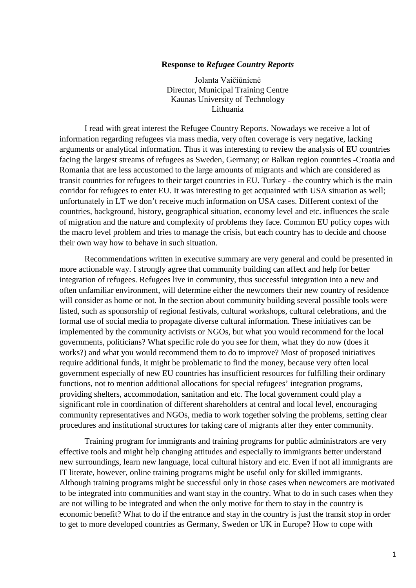## **Response to** *Refugee Country Reports*

Jolanta Vaičiūnienė Director, Municipal Training Centre Kaunas University of Technology Lithuania

I read with great interest the Refugee Country Reports. Nowadays we receive a lot of information regarding refugees via mass media, very often coverage is very negative, lacking arguments or analytical information. Thus it was interesting to review the analysis of EU countries facing the largest streams of refugees as Sweden, Germany; or Balkan region countries -Croatia and Romania that are less accustomed to the large amounts of migrants and which are considered as transit countries for refugees to their target countries in EU. Turkey - the country which is the main corridor for refugees to enter EU. It was interesting to get acquainted with USA situation as well; unfortunately in LT we don't receive much information on USA cases. Different context of the countries, background, history, geographical situation, economy level and etc. influences the scale of migration and the nature and complexity of problems they face. Common EU policy copes with the macro level problem and tries to manage the crisis, but each country has to decide and choose their own way how to behave in such situation.

Recommendations written in executive summary are very general and could be presented in more actionable way. I strongly agree that community building can affect and help for better integration of refugees. Refugees live in community, thus successful integration into a new and often unfamiliar environment, will determine either the newcomers their new country of residence will consider as home or not. In the section about community building several possible tools were listed, such as sponsorship of regional festivals, cultural workshops, cultural celebrations, and the formal use of social media to propagate diverse cultural information. These initiatives can be implemented by the community activists or NGOs, but what you would recommend for the local governments, politicians? What specific role do you see for them, what they do now (does it works?) and what you would recommend them to do to improve? Most of proposed initiatives require additional funds, it might be problematic to find the money, because very often local government especially of new EU countries has insufficient resources for fulfilling their ordinary functions, not to mention additional allocations for special refugees' integration programs, providing shelters, accommodation, sanitation and etc. The local government could play a significant role in coordination of different shareholders at central and local level, encouraging community representatives and NGOs, media to work together solving the problems, setting clear procedures and institutional structures for taking care of migrants after they enter community.

Training program for immigrants and training programs for public administrators are very effective tools and might help changing attitudes and especially to immigrants better understand new surroundings, learn new language, local cultural history and etc. Even if not all immigrants are IT literate, however, online training programs might be useful only for skilled immigrants. Although training programs might be successful only in those cases when newcomers are motivated to be integrated into communities and want stay in the country. What to do in such cases when they are not willing to be integrated and when the only motive for them to stay in the country is economic benefit? What to do if the entrance and stay in the country is just the transit stop in order to get to more developed countries as Germany, Sweden or UK in Europe? How to cope with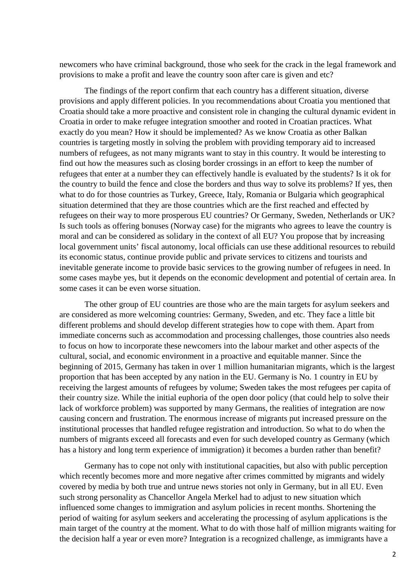newcomers who have criminal background, those who seek for the crack in the legal framework and provisions to make a profit and leave the country soon after care is given and etc?

The findings of the report confirm that each country has a different situation, diverse provisions and apply different policies. In you recommendations about Croatia you mentioned that Croatia should take a more proactive and consistent role in changing the cultural dynamic evident in Croatia in order to make refugee integration smoother and rooted in Croatian practices. What exactly do you mean? How it should be implemented? As we know Croatia as other Balkan countries is targeting mostly in solving the problem with providing temporary aid to increased numbers of refugees, as not many migrants want to stay in this country. It would be interesting to find out how the measures such as closing border crossings in an effort to keep the number of refugees that enter at a number they can effectively handle is evaluated by the students? Is it ok for the country to build the fence and close the borders and thus way to solve its problems? If yes, then what to do for those countries as Turkey, Greece, Italy, Romania or Bulgaria which geographical situation determined that they are those countries which are the first reached and effected by refugees on their way to more prosperous EU countries? Or Germany, Sweden, Netherlands or UK? Is such tools as offering bonuses (Norway case) for the migrants who agrees to leave the country is moral and can be considered as solidary in the context of all EU? You propose that by increasing local government units' fiscal autonomy, local officials can use these additional resources to rebuild its economic status, continue provide public and private services to citizens and tourists and inevitable generate income to provide basic services to the growing number of refugees in need. In some cases maybe yes, but it depends on the economic development and potential of certain area. In some cases it can be even worse situation.

The other group of EU countries are those who are the main targets for asylum seekers and are considered as more welcoming countries: Germany, Sweden, and etc. They face a little bit different problems and should develop different strategies how to cope with them. Apart from immediate concerns such as accommodation and processing challenges, those countries also needs to focus on how to incorporate these newcomers into the labour market and other aspects of the cultural, social, and economic environment in a proactive and equitable manner. Since the beginning of 2015, Germany has taken in over 1 million humanitarian migrants, which is the largest proportion that has been accepted by any nation in the EU. Germany is No. 1 country in EU by receiving the largest amounts of refugees by volume; Sweden takes the most refugees per capita of their country size. While the initial euphoria of the open door policy (that could help to solve their lack of workforce problem) was supported by many Germans, the realities of integration are now causing concern and frustration. The enormous increase of migrants put increased pressure on the institutional processes that handled refugee registration and introduction. So what to do when the numbers of migrants exceed all forecasts and even for such developed country as Germany (which has a history and long term experience of immigration) it becomes a burden rather than benefit?

Germany has to cope not only with institutional capacities, but also with public perception which recently becomes more and more negative after crimes committed by migrants and widely covered by media by both true and untrue news stories not only in Germany, but in all EU. Even such strong personality as Chancellor Angela Merkel had to adjust to new situation which influenced some changes to immigration and asylum policies in recent months. Shortening the period of waiting for asylum seekers and accelerating the processing of asylum applications is the main target of the country at the moment. What to do with those half of million migrants waiting for the decision half a year or even more? Integration is a recognized challenge, as immigrants have a